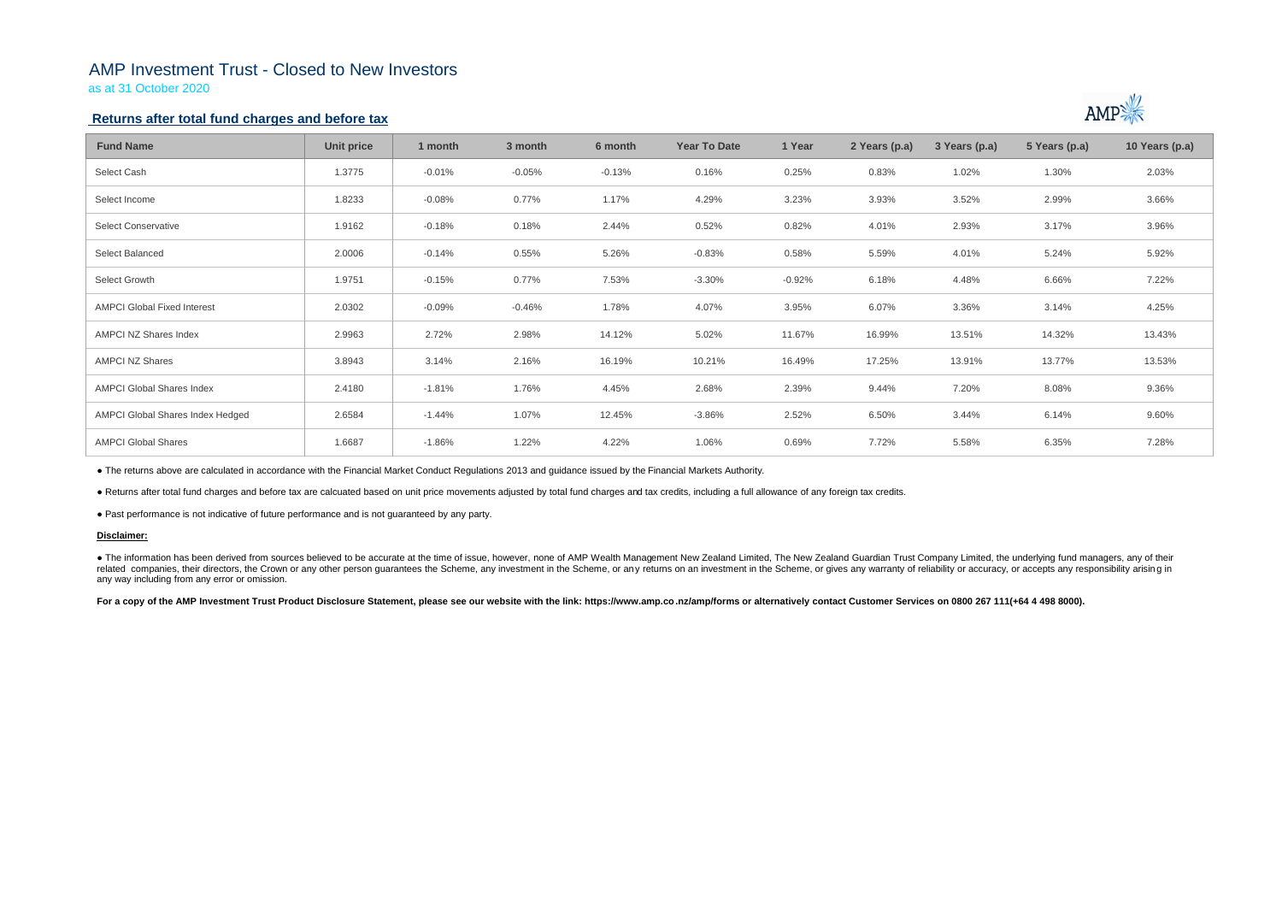## AMP Investment Trust - Closed to New Investors

as at 31 October 2020

## **Returns after total fund charges and before tax**

| <b>Fund Name</b>                   | <b>Unit price</b> | 1 month  | 3 month  | 6 month  | <b>Year To Date</b> | 1 Year   | 2 Years (p.a) | 3 Years (p.a) | 5 Years (p.a) | 10 Years (p.a) |
|------------------------------------|-------------------|----------|----------|----------|---------------------|----------|---------------|---------------|---------------|----------------|
| Select Cash                        | 1.3775            | $-0.01%$ | $-0.05%$ | $-0.13%$ | 0.16%               | 0.25%    | 0.83%         | 1.02%         | 1.30%         | 2.03%          |
| Select Income                      | 1.8233            | $-0.08%$ | 0.77%    | 1.17%    | 4.29%               | 3.23%    | 3.93%         | 3.52%         | 2.99%         | 3.66%          |
| <b>Select Conservative</b>         | 1.9162            | $-0.18%$ | 0.18%    | 2.44%    | 0.52%               | 0.82%    | 4.01%         | 2.93%         | 3.17%         | 3.96%          |
| Select Balanced                    | 2.0006            | $-0.14%$ | 0.55%    | 5.26%    | $-0.83%$            | 0.58%    | 5.59%         | 4.01%         | 5.24%         | 5.92%          |
| Select Growth                      | 1.9751            | $-0.15%$ | 0.77%    | 7.53%    | $-3.30%$            | $-0.92%$ | 6.18%         | 4.48%         | 6.66%         | 7.22%          |
| <b>AMPCI Global Fixed Interest</b> | 2.0302            | $-0.09%$ | $-0.46%$ | 1.78%    | 4.07%               | 3.95%    | 6.07%         | 3.36%         | 3.14%         | 4.25%          |
| AMPCI NZ Shares Index              | 2.9963            | 2.72%    | 2.98%    | 14.12%   | 5.02%               | 11.67%   | 16.99%        | 13.51%        | 14.32%        | 13.43%         |
| <b>AMPCI NZ Shares</b>             | 3.8943            | 3.14%    | 2.16%    | 16.19%   | 10.21%              | 16.49%   | 17.25%        | 13.91%        | 13.77%        | 13.53%         |
| <b>AMPCI Global Shares Index</b>   | 2.4180            | $-1.81%$ | 1.76%    | 4.45%    | 2.68%               | 2.39%    | 9.44%         | 7.20%         | 8.08%         | 9.36%          |
| AMPCI Global Shares Index Hedged   | 2.6584            | $-1.44%$ | 1.07%    | 12.45%   | $-3.86%$            | 2.52%    | 6.50%         | 3.44%         | 6.14%         | 9.60%          |
| <b>AMPCI Global Shares</b>         | 1.6687            | $-1.86%$ | 1.22%    | 4.22%    | 1.06%               | 0.69%    | 7.72%         | 5.58%         | 6.35%         | 7.28%          |

• The information has been derived from sources believed to be accurate at the time of issue, however, none of AMP Wealth Management New Zealand Limited, The New Zealand Guardian Trust Company Limited, the underlying fund related companies, their directors, the Crown or any other person quarantees the Scheme, any investment in the Scheme, or any returns on an investment in the Scheme, or gives any warranty of reliability or accuracy, or acc any way including from any error or omission.

For a copy of the AMP Investment Trust Product Disclosure Statement, please see our website with the link: https://www.amp.co.nz/amp/forms or alternatively contact Customer Services on 0800 267 111(+64 4 498 8000).



● The returns above are calculated in accordance with the Financial Market Conduct Regulations 2013 and guidance issued by the Financial Markets Authority.

● Returns after total fund charges and before tax are calcuated based on unit price movements adjusted by total fund charges and tax credits, including a full allowance of any foreign tax credits.

● Past performance is not indicative of future performance and is not guaranteed by any party.

### **Disclaimer:**